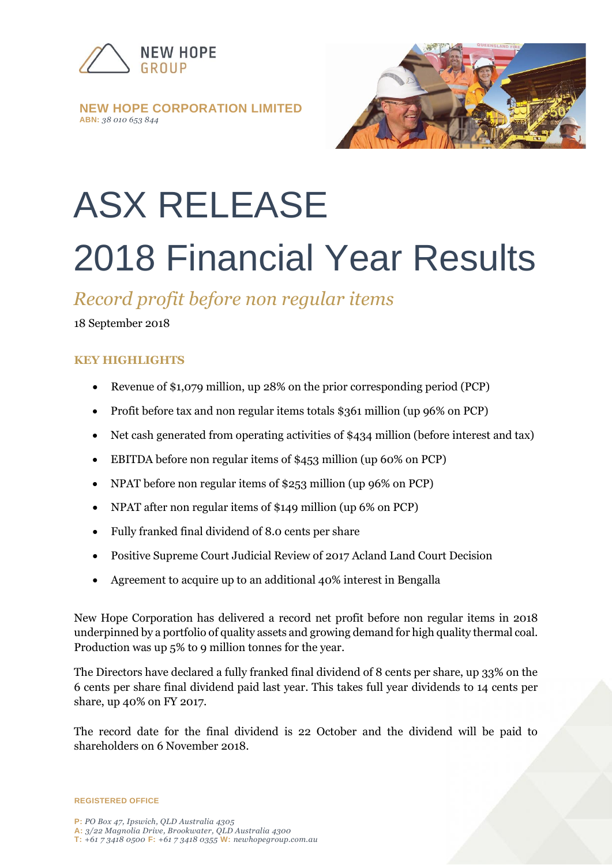

#### **NEW HOPE CORPORATION LIMITED ABN:** *38 010 653 844*



# ASX RELEASE 2018 Financial Year Results

## *Record profit before non regular items*

18 September 2018

### **KEY HIGHLIGHTS**

- Revenue of \$1,079 million, up 28% on the prior corresponding period (PCP)
- Profit before tax and non regular items totals \$361 million (up 96% on PCP)
- Net cash generated from operating activities of \$434 million (before interest and tax)
- EBITDA before non regular items of \$453 million (up 60% on PCP)
- NPAT before non regular items of \$253 million (up 96% on PCP)
- NPAT after non regular items of \$149 million (up 6% on PCP)
- Fully franked final dividend of 8.0 cents per share
- Positive Supreme Court Judicial Review of 2017 Acland Land Court Decision
- Agreement to acquire up to an additional 40% interest in Bengalla

New Hope Corporation has delivered a record net profit before non regular items in 2018 underpinned by a portfolio of quality assets and growing demand for high quality thermal coal. Production was up 5% to 9 million tonnes for the year.

The Directors have declared a fully franked final dividend of 8 cents per share, up 33% on the 6 cents per share final dividend paid last year. This takes full year dividends to 14 cents per share, up 40% on FY 2017.

The record date for the final dividend is 22 October and the dividend will be paid to shareholders on 6 November 2018.

**REGISTERED OFFICE**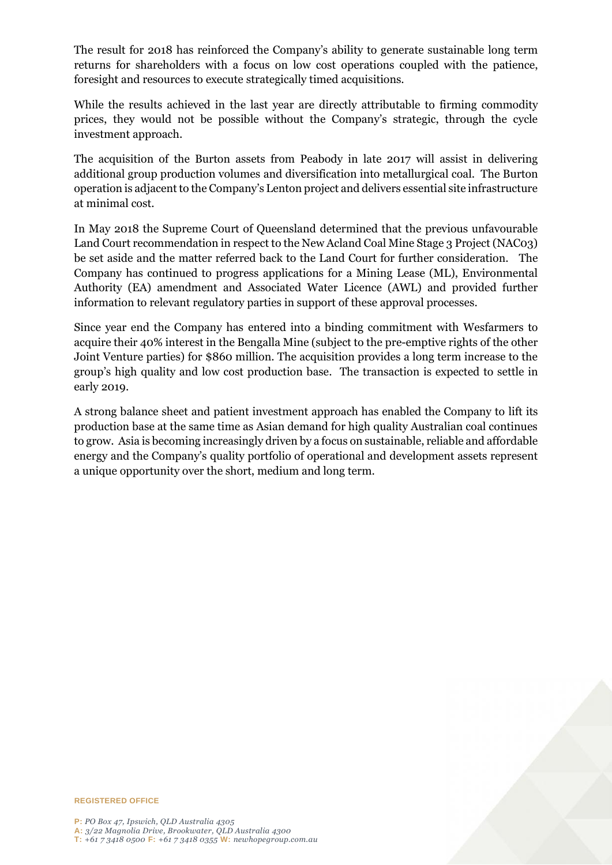The result for 2018 has reinforced the Company's ability to generate sustainable long term returns for shareholders with a focus on low cost operations coupled with the patience, foresight and resources to execute strategically timed acquisitions.

While the results achieved in the last year are directly attributable to firming commodity prices, they would not be possible without the Company's strategic, through the cycle investment approach.

The acquisition of the Burton assets from Peabody in late 2017 will assist in delivering additional group production volumes and diversification into metallurgical coal. The Burton operation is adjacent to the Company's Lenton project and delivers essential site infrastructure at minimal cost.

In May 2018 the Supreme Court of Queensland determined that the previous unfavourable Land Court recommendation in respect to the New Acland Coal Mine Stage 3 Project (NAC03) be set aside and the matter referred back to the Land Court for further consideration. The Company has continued to progress applications for a Mining Lease (ML), Environmental Authority (EA) amendment and Associated Water Licence (AWL) and provided further information to relevant regulatory parties in support of these approval processes.

Since year end the Company has entered into a binding commitment with Wesfarmers to acquire their 40% interest in the Bengalla Mine (subject to the pre-emptive rights of the other Joint Venture parties) for \$860 million. The acquisition provides a long term increase to the group's high quality and low cost production base. The transaction is expected to settle in early 2019.

A strong balance sheet and patient investment approach has enabled the Company to lift its production base at the same time as Asian demand for high quality Australian coal continues to grow. Asia is becoming increasingly driven by a focus on sustainable, reliable and affordable energy and the Company's quality portfolio of operational and development assets represent a unique opportunity over the short, medium and long term.



**REGISTERED OFFICE**